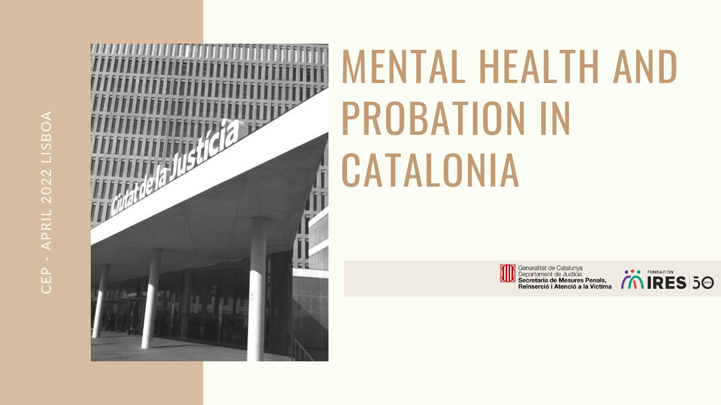# APRIL 2022 LISBOA CEP - APRIL 2022 LISBOACEP



## MENTAL HEALTH AND PROBATION IN CATALONIA



Generalitat de Catalunya<br>Departament de Justícia<br>Secretaria de Mesures Penals, Reinserció i Atenció a la Víctima

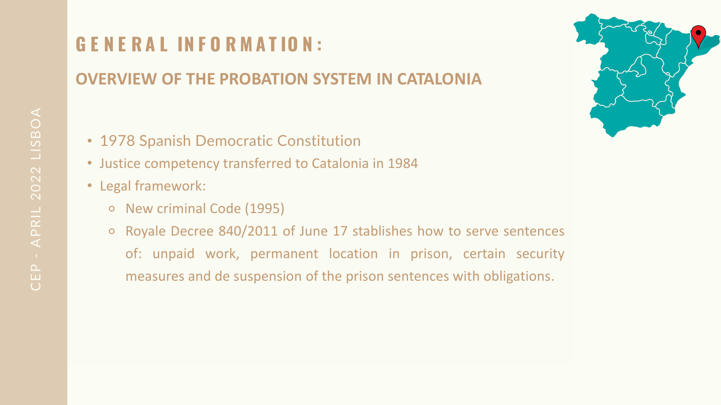### **G E N E R A L IN F O R M A T IO N :**

### **OVERVIEW OF THE PROBATION SYSTEM IN CATALONIA**



- 1978 Spanish Democratic Constitution
- Justice competency transferred to Catalonia in 1984
- Legal framework:
	- ⚬ New criminal Code (1995)
	- ⚬ Royale Decree 840/2011 of June 17 stablishes how to serve sentences of: unpaid work, permanent location in prison, certain security measures and de suspension of the prison sentences with obligations.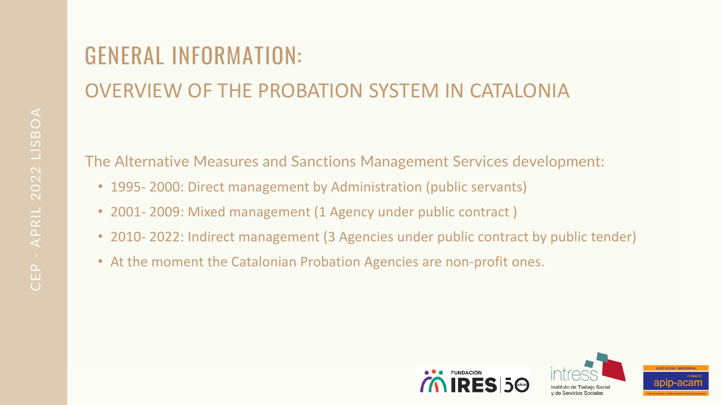### GENERAL INFORMATION: OVERVIEW OF THE PROBATION SYSTEM IN CATALONIA

The Alternative Measures and Sanctions Management Services development:

- 1995-2000: Direct management by Administration (public servants)
- 2001- 2009: Mixed management (1 Agency under public contract )
- 2010-2022: Indirect management (3 Agencies under public contract by public tender)
- At the moment the Catalonian Probation Agencies are non-profit ones.





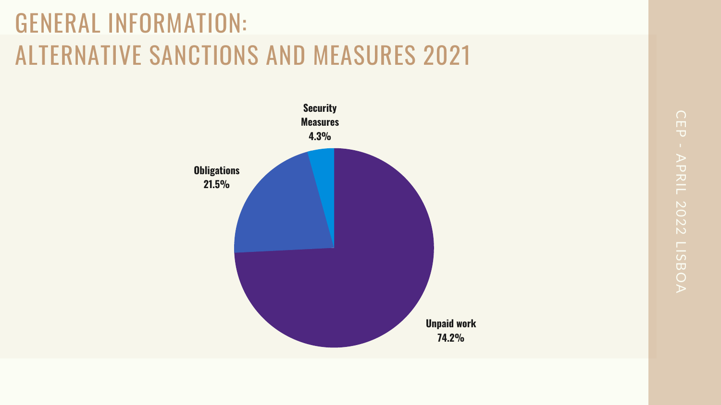CEP - APRIL 2022 LISBOA APRIL 2022 LISBOA



### GENERAL INFORMATION: ALTERNATIVE SANCTIONS AND MEASURES 2021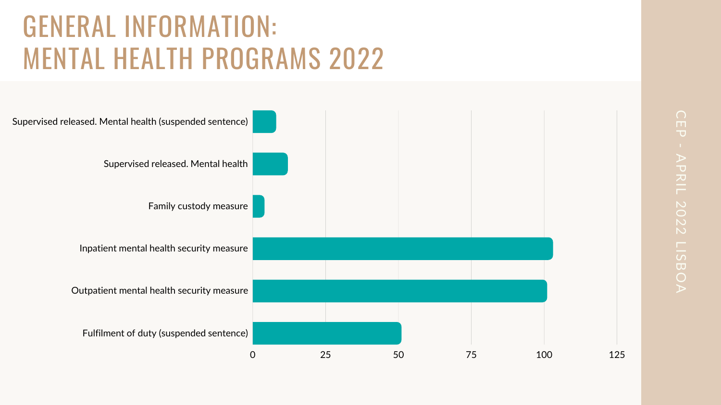### GENERAL INFORMATION: MENTAL HEALTH PROGRAMS 2022





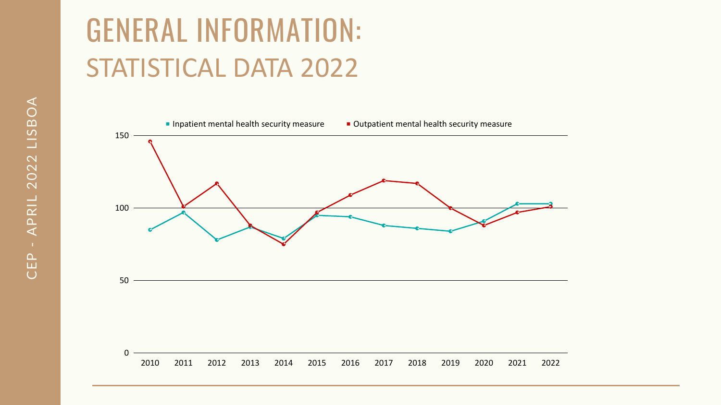### GENERAL INFORMATION: STATISTICAL DATA 2022

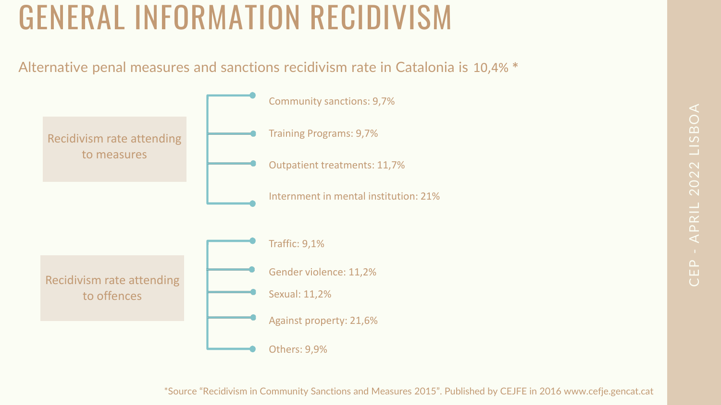## GENERAL INFORMATION RECIDIVISM

# CEP<br>C APRIL 2022 LISBOA

### Alternative penal measures and sanctions recidivism rate in Catalonia is 10,4% \*



\*Source "Recidivism in Community Sanctions and Measures 2015". Published by CEJFE in 2016 www.cefje.gencat.cat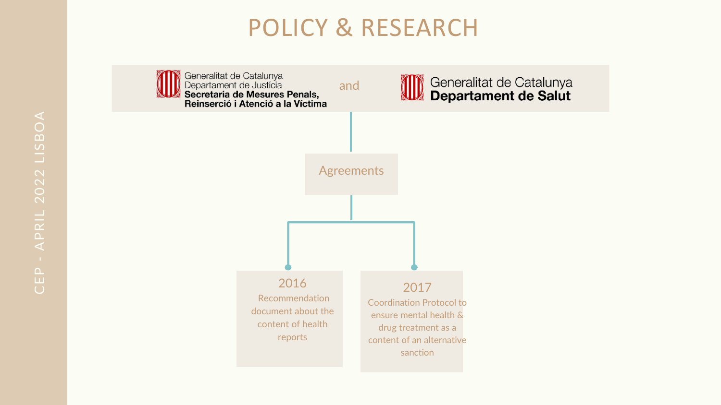### POLICY & RESEARCH





### Generalitat de Catalunya<br>Departament de Salut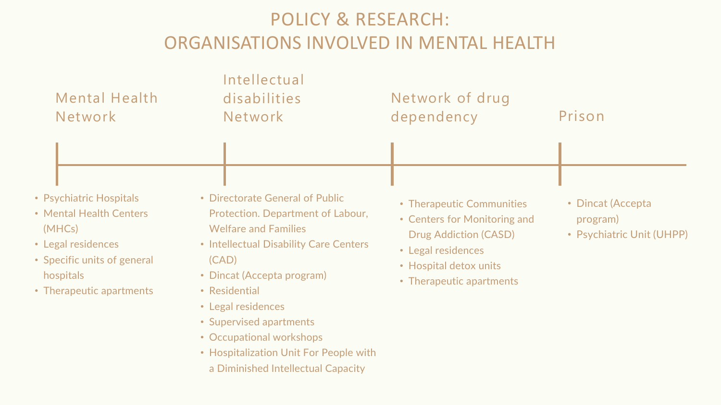| <b>Mental Health</b> |  |
|----------------------|--|
| Network              |  |

- Psychiatric Hospitals
- Mental Health Centers (MHCs)
- Legal residences
- Specific units of general hospitals
- Therapeutic apartments

### Intellectual disabilities Network

- Directorate General of Public Protection. Department of Labour, Welfare and Families
- Intellectual Disability Care Centers (CAD)
- Dincat (Accepta program)
- Residential
- Legal residences
- Supervised apartments
- Occupational workshops
- Hospitalization Unit For People with a Diminished Intellectual Capacity

dependency

- 
- 
- Legal residences
- 
- 



### POLICY & RESEARCH: ORGANISATIONS INVOLVED IN MENTAL HEALTH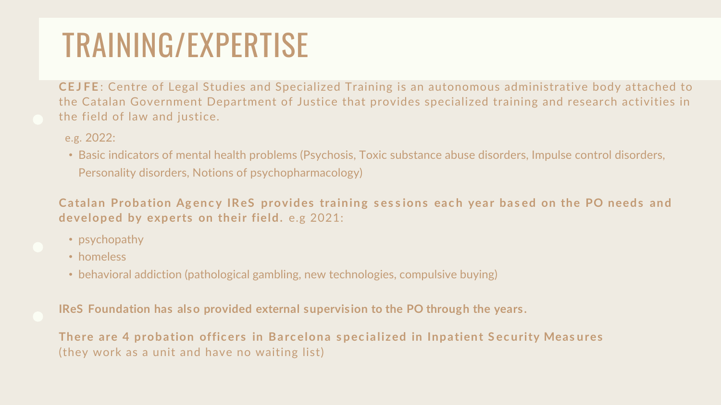**CE J FE** : Centre of Legal Studies and Specialized Training is an autonomous administrative body attached to the Catalan Government Department of Justice that provides specialized training and research activities in the field of law and justice.

**Catalan Probation Agency IReS provides training sessions each year based on the PO needs and developed by experts on their field.** e.g 2021:

- psychopathy
- homeless
- behavioral addiction (pathological gambling, new technologies, compulsive buying)
- e.g. 2022:
- Basic indicators of mental health problems (Psychosis, Toxic substance abuse disorders, Impulse control disorders, Personality disorders, Notions of psychopharmacology)

There are 4 probation officers in Barcelona specialized in Inpatient Security Measures (they work as a unit and have no waiting list)

**IReS Foundation has also provided external supervision to the PO through the years.** 

### TRAINING/EXPERTISE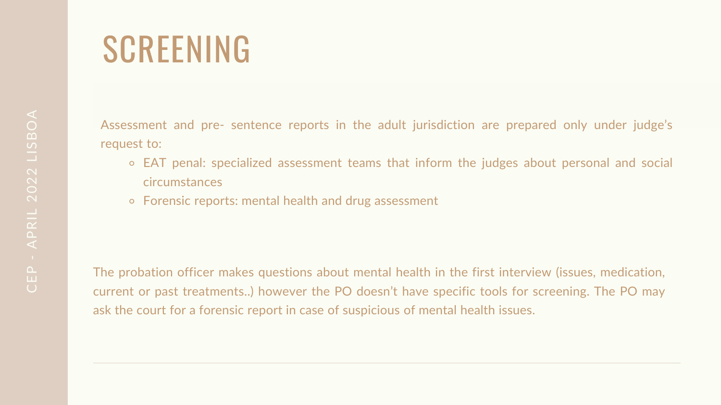## SCREENING

Assessment and pre- sentence reports in the adult jurisdiction are prepared only under judge's request to:

- ⚬ EAT penal: specialized assessment teams that inform the judges about personal and social circumstances
- ⚬ Forensic reports: mental health and drug assessment

The probation officer makes questions about mental health in the first interview (issues, medication, current or past treatments..) however the PO doesn't have specific tools for screening. The PO may ask the court for a forensic report in case of suspicious of mental health issues.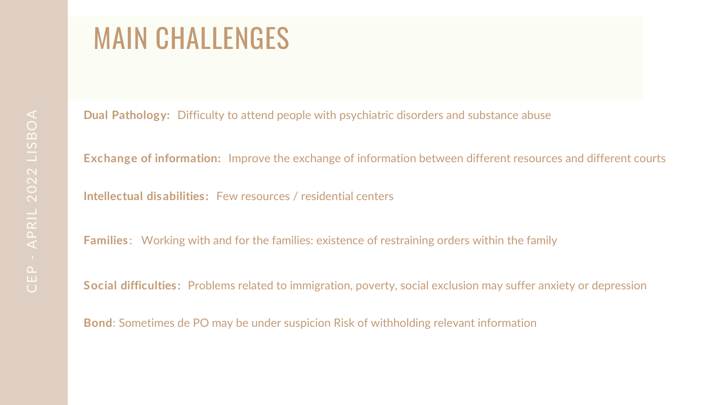### MAIN CHALLENGES

**Dual Pathology:** Difficulty to attend people with psychiatric disorders and substance abuse **Exchange of information:** Improve the exchange of information between different resources and different courts **Intellectual disabilities:** Few resources / residential centers **Families** : Working with and for the families: existence of restraining orders within the family **Social difficulties:** Problems related to immigration, poverty, social exclusion may suffer anxiety or depression **Bond**: Sometimes de PO may be under suspicion Risk of withholding relevant information